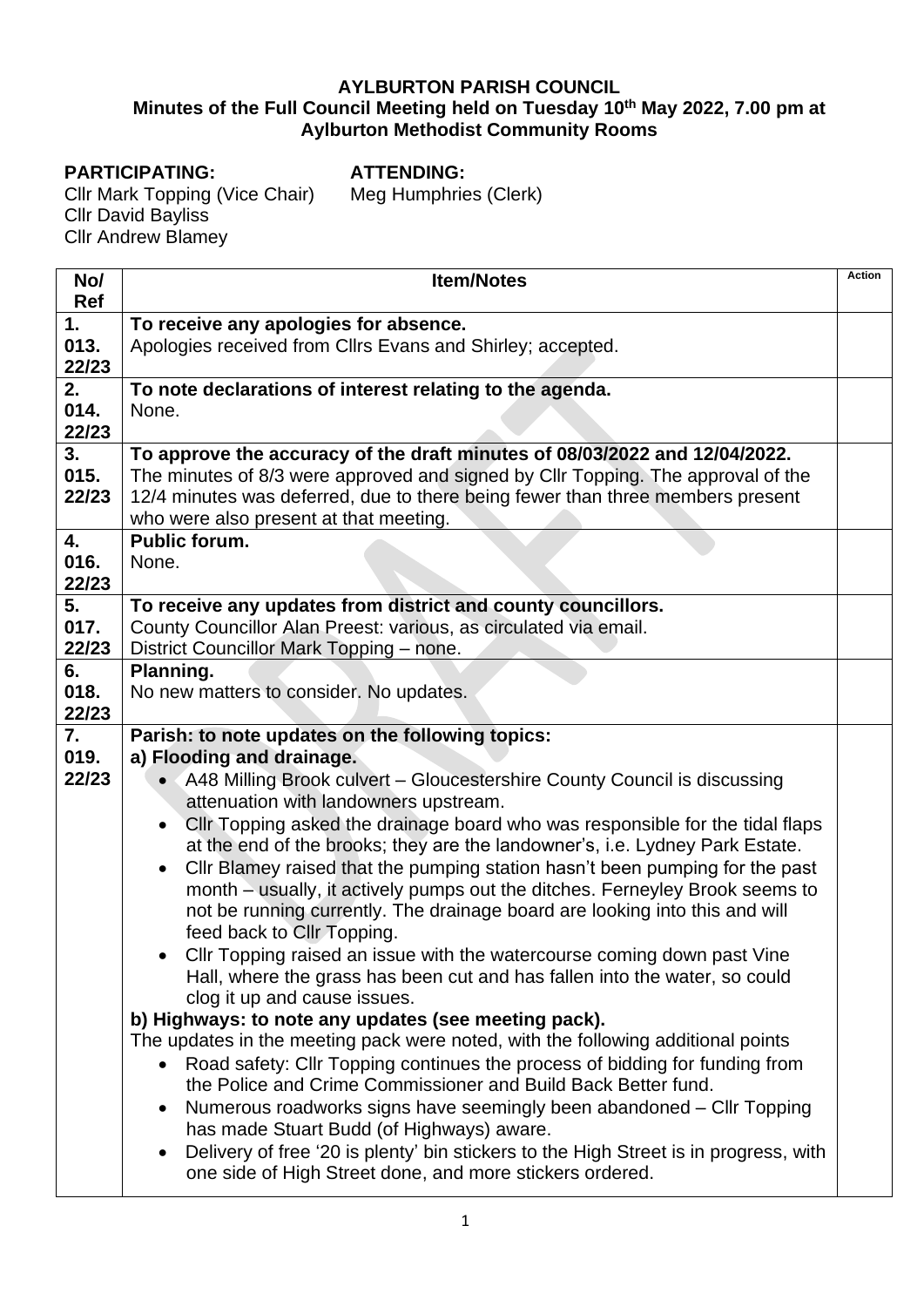## **AYLBURTON PARISH COUNCIL Minutes of the Full Council Meeting held on Tuesday 10 th May 2022, 7.00 pm at Aylburton Methodist Community Rooms**

## **PARTICIPATING:**

**ATTENDING:** Meg Humphries (Clerk)

Cllr Mark Topping (Vice Chair) Cllr David Bayliss **Cllr Andrew Blamey** 

| No/   | <b>Item/Notes</b>                                                                                 | <b>Action</b> |
|-------|---------------------------------------------------------------------------------------------------|---------------|
| Ref   |                                                                                                   |               |
| 1.    | To receive any apologies for absence.                                                             |               |
| 013.  | Apologies received from Cllrs Evans and Shirley; accepted.                                        |               |
| 22/23 |                                                                                                   |               |
| 2.    | To note declarations of interest relating to the agenda.                                          |               |
| 014.  | None.                                                                                             |               |
| 22/23 |                                                                                                   |               |
| 3.    | To approve the accuracy of the draft minutes of 08/03/2022 and 12/04/2022.                        |               |
| 015.  | The minutes of 8/3 were approved and signed by Cllr Topping. The approval of the                  |               |
| 22/23 | 12/4 minutes was deferred, due to there being fewer than three members present                    |               |
|       | who were also present at that meeting.                                                            |               |
| 4.    | <b>Public forum.</b>                                                                              |               |
| 016.  | None.                                                                                             |               |
| 22/23 |                                                                                                   |               |
| 5.    | To receive any updates from district and county councillors.                                      |               |
| 017.  | County Councillor Alan Preest: various, as circulated via email.                                  |               |
| 22/23 | District Councillor Mark Topping - none.                                                          |               |
| 6.    | Planning.                                                                                         |               |
| 018.  | No new matters to consider. No updates.                                                           |               |
| 22/23 |                                                                                                   |               |
| 7.    | Parish: to note updates on the following topics:                                                  |               |
| 019.  | a) Flooding and drainage.                                                                         |               |
| 22/23 | A48 Milling Brook culvert - Gloucestershire County Council is discussing                          |               |
|       | attenuation with landowners upstream.                                                             |               |
|       | CIIr Topping asked the drainage board who was responsible for the tidal flaps<br>$\bullet$        |               |
|       | at the end of the brooks; they are the landowner's, i.e. Lydney Park Estate.                      |               |
|       |                                                                                                   |               |
|       | Cllr Blamey raised that the pumping station hasn't been pumping for the past<br>$\bullet$         |               |
|       | month - usually, it actively pumps out the ditches. Ferneyley Brook seems to                      |               |
|       | not be running currently. The drainage board are looking into this and will                       |               |
|       | feed back to Cllr Topping.                                                                        |               |
|       | CIIr Topping raised an issue with the watercourse coming down past Vine<br>$\bullet$              |               |
|       | Hall, where the grass has been cut and has fallen into the water, so could                        |               |
|       | clog it up and cause issues.                                                                      |               |
|       | b) Highways: to note any updates (see meeting pack).                                              |               |
|       | The updates in the meeting pack were noted, with the following additional points                  |               |
|       | Road safety: Cllr Topping continues the process of bidding for funding from<br>$\bullet$          |               |
|       | the Police and Crime Commissioner and Build Back Better fund.                                     |               |
|       | Numerous roadworks signs have seemingly been abandoned – Cllr Topping                             |               |
|       | has made Stuart Budd (of Highways) aware.                                                         |               |
|       | Delivery of free '20 is plenty' bin stickers to the High Street is in progress, with<br>$\bullet$ |               |
|       | one side of High Street done, and more stickers ordered.                                          |               |
|       |                                                                                                   |               |